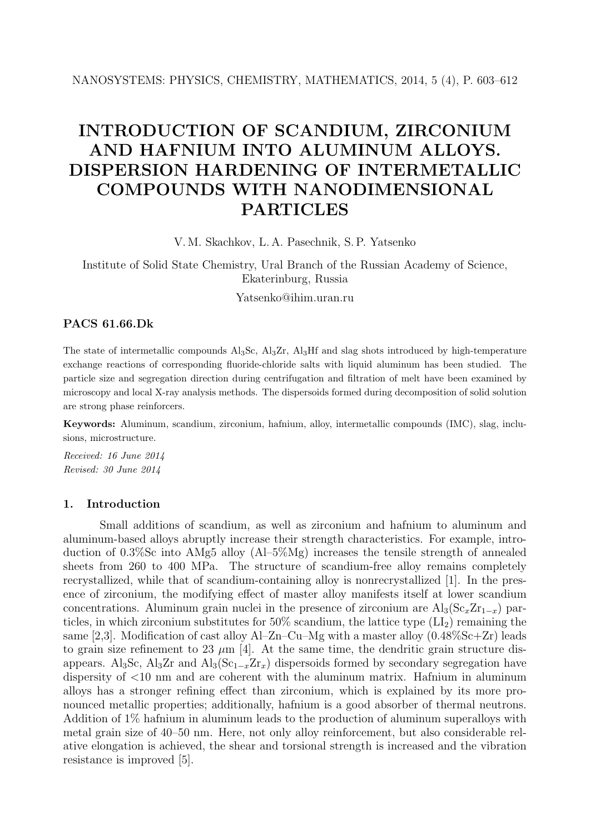# INTRODUCTION OF SCANDIUM, ZIRCONIUM AND HAFNIUM INTO ALUMINUM ALLOYS. DISPERSION HARDENING OF INTERMETALLIC COMPOUNDS WITH NANODIMENSIONAL PARTICLES

V. M. Skachkov, L. A. Pasechnik, S. P. Yatsenko

Institute of Solid State Chemistry, Ural Branch of the Russian Academy of Science, Ekaterinburg, Russia

Yatsenko@ihim.uran.ru

## PACS 61.66.Dk

The state of intermetallic compounds Al3Sc, Al3Zr, Al3Hf and slag shots introduced by high-temperature exchange reactions of corresponding fluoride-chloride salts with liquid aluminum has been studied. The particle size and segregation direction during centrifugation and filtration of melt have been examined by microscopy and local X-ray analysis methods. The dispersoids formed during decomposition of solid solution are strong phase reinforcers.

Keywords: Aluminum, scandium, zirconium, hafnium, alloy, intermetallic compounds (IMC), slag, inclusions, microstructure.

Received: 16 June 2014 Revised: 30 June 2014

## 1. Introduction

Small additions of scandium, as well as zirconium and hafnium to aluminum and aluminum-based alloys abruptly increase their strength characteristics. For example, introduction of 0.3%Sc into AMg5 alloy (Al–5%Mg) increases the tensile strength of annealed sheets from 260 to 400 MPa. The structure of scandium-free alloy remains completely recrystallized, while that of scandium-containing alloy is nonrecrystallized [1]. In the presence of zirconium, the modifying effect of master alloy manifests itself at lower scandium concentrations. Aluminum grain nuclei in the presence of zirconium are  $\text{Al}_3(\text{Sc}_x\text{Zr}_{1-x})$  particles, in which zirconium substitutes for  $50\%$  scandium, the lattice type  $(LI_2)$  remaining the same [2,3]. Modification of cast alloy  $Al-Zn-Cu-Mg$  with a master alloy  $(0.48\%Sc+Zr)$  leads to grain size refinement to 23  $\mu$ m [4]. At the same time, the dendritic grain structure disappears. Al<sub>3</sub>Sc, Al<sub>3</sub>Zr and Al<sub>3</sub>(Sc<sub>1-x</sub>Zr<sub>x</sub>) dispersoids formed by secondary segregation have dispersity of  $\langle 10 \text{ nm} \rangle$  and are coherent with the aluminum matrix. Hafnium in aluminum alloys has a stronger refining effect than zirconium, which is explained by its more pronounced metallic properties; additionally, hafnium is a good absorber of thermal neutrons. Addition of 1% hafnium in aluminum leads to the production of aluminum superalloys with metal grain size of 40–50 nm. Here, not only alloy reinforcement, but also considerable relative elongation is achieved, the shear and torsional strength is increased and the vibration resistance is improved [5].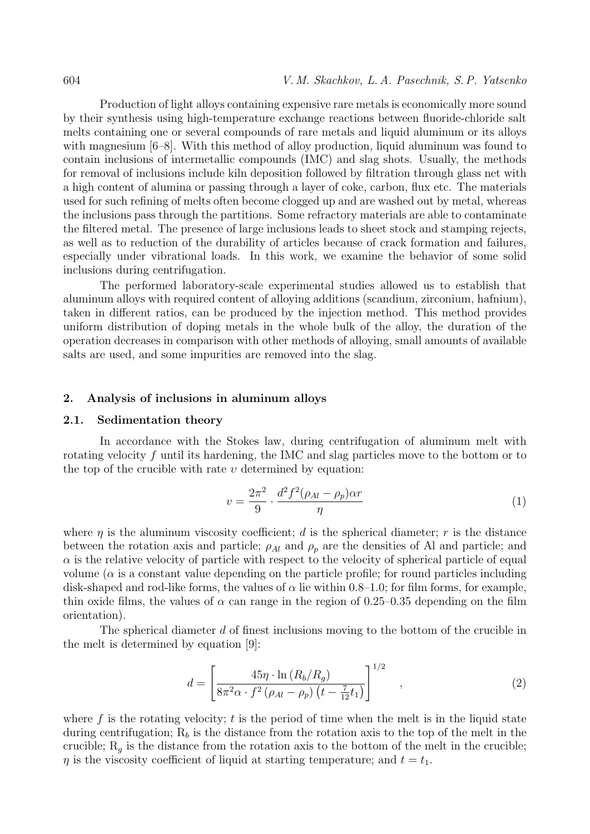Production of light alloys containing expensive rare metals is economically more sound by their synthesis using high-temperature exchange reactions between fluoride-chloride salt melts containing one or several compounds of rare metals and liquid aluminum or its alloys with magnesium  $[6-8]$ . With this method of alloy production, liquid aluminum was found to contain inclusions of intermetallic compounds (IMC) and slag shots. Usually, the methods for removal of inclusions include kiln deposition followed by filtration through glass net with a high content of alumina or passing through a layer of coke, carbon, flux etc. The materials used for such refining of melts often become clogged up and are washed out by metal, whereas the inclusions pass through the partitions. Some refractory materials are able to contaminate the filtered metal. The presence of large inclusions leads to sheet stock and stamping rejects, as well as to reduction of the durability of articles because of crack formation and failures, especially under vibrational loads. In this work, we examine the behavior of some solid inclusions during centrifugation.

The performed laboratory-scale experimental studies allowed us to establish that aluminum alloys with required content of alloying additions (scandium, zirconium, hafnium), taken in different ratios, can be produced by the injection method. This method provides uniform distribution of doping metals in the whole bulk of the alloy, the duration of the operation decreases in comparison with other methods of alloying, small amounts of available salts are used, and some impurities are removed into the slag.

#### 2. Analysis of inclusions in aluminum alloys

#### 2.1. Sedimentation theory

In accordance with the Stokes law, during centrifugation of aluminum melt with rotating velocity f until its hardening, the IMC and slag particles move to the bottom or to the top of the crucible with rate  $v$  determined by equation:

$$
v = \frac{2\pi^2}{9} \cdot \frac{d^2 f^2 (\rho_{Al} - \rho_p) \alpha r}{\eta} \tag{1}
$$

where  $\eta$  is the aluminum viscosity coefficient; d is the spherical diameter; r is the distance between the rotation axis and particle;  $\rho_{Al}$  and  $\rho_p$  are the densities of Al and particle; and  $\alpha$  is the relative velocity of particle with respect to the velocity of spherical particle of equal volume ( $\alpha$  is a constant value depending on the particle profile; for round particles including disk-shaped and rod-like forms, the values of  $\alpha$  lie within 0.8–1.0; for film forms, for example, thin oxide films, the values of  $\alpha$  can range in the region of 0.25–0.35 depending on the film orientation).

The spherical diameter d of finest inclusions moving to the bottom of the crucible in the melt is determined by equation [9]:

$$
d = \left[ \frac{45\eta \cdot \ln(R_b/R_g)}{8\pi^2 \alpha \cdot f^2 \left( \rho_{Al} - \rho_p \right) \left( t - \frac{7}{12} t_1 \right)} \right]^{1/2} \quad , \tag{2}
$$

where  $f$  is the rotating velocity;  $t$  is the period of time when the melt is in the liquid state during centrifugation;  $R_b$  is the distance from the rotation axis to the top of the melt in the crucible;  $R_q$  is the distance from the rotation axis to the bottom of the melt in the crucible;  $\eta$  is the viscosity coefficient of liquid at starting temperature; and  $t = t_1$ .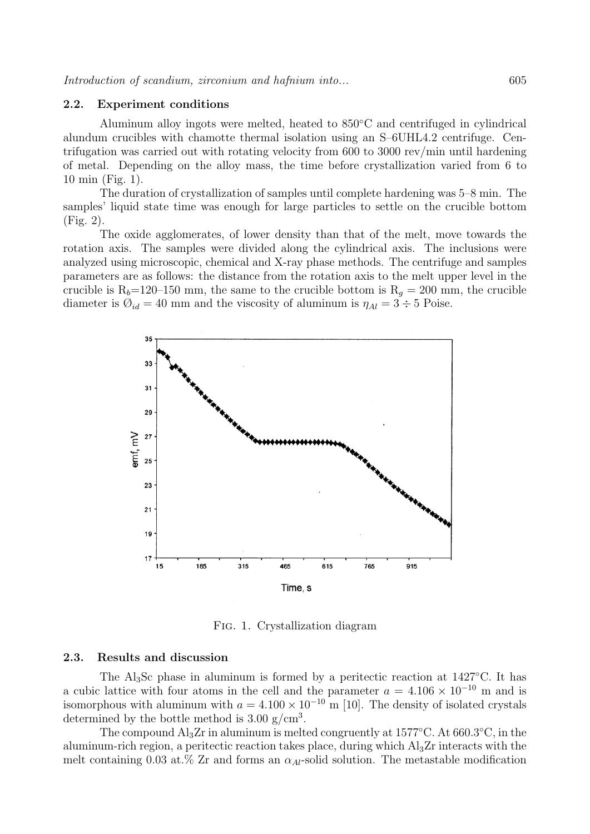#### 2.2. Experiment conditions

Aluminum alloy ingots were melted, heated to 850◦C and centrifuged in cylindrical alundum crucibles with chamotte thermal isolation using an S–6UHL4.2 centrifuge. Centrifugation was carried out with rotating velocity from 600 to 3000 rev/min until hardening of metal. Depending on the alloy mass, the time before crystallization varied from 6 to 10 min (Fig. 1).

The duration of crystallization of samples until complete hardening was 5–8 min. The samples' liquid state time was enough for large particles to settle on the crucible bottom (Fig. 2).

The oxide agglomerates, of lower density than that of the melt, move towards the rotation axis. The samples were divided along the cylindrical axis. The inclusions were analyzed using microscopic, chemical and X-ray phase methods. The centrifuge and samples parameters are as follows: the distance from the rotation axis to the melt upper level in the crucible is R<sub>b</sub>=120–150 mm, the same to the crucible bottom is R<sub>q</sub> = 200 mm, the crucible diameter is  $\mathcal{O}_{id} = 40$  mm and the viscosity of aluminum is  $\eta_{Al} = 3 \div 5$  Poise.



Fig. 1. Crystallization diagram

#### 2.3. Results and discussion

The Al3Sc phase in aluminum is formed by a peritectic reaction at 1427◦C. It has a cubic lattice with four atoms in the cell and the parameter  $a = 4.106 \times 10^{-10}$  m and is isomorphous with aluminum with  $a = 4.100 \times 10^{-10}$  m [10]. The density of isolated crystals determined by the bottle method is  $3.00 \text{ g/cm}^3$ .

The compound  $\text{Al}_3\text{Zr}$  in aluminum is melted congruently at 1577°C. At 660.3°C, in the aluminum-rich region, a peritectic reaction takes place, during which  $A_{3Z}$ r interacts with the melt containing 0.03 at.% Zr and forms an  $\alpha_{Al}$ -solid solution. The metastable modification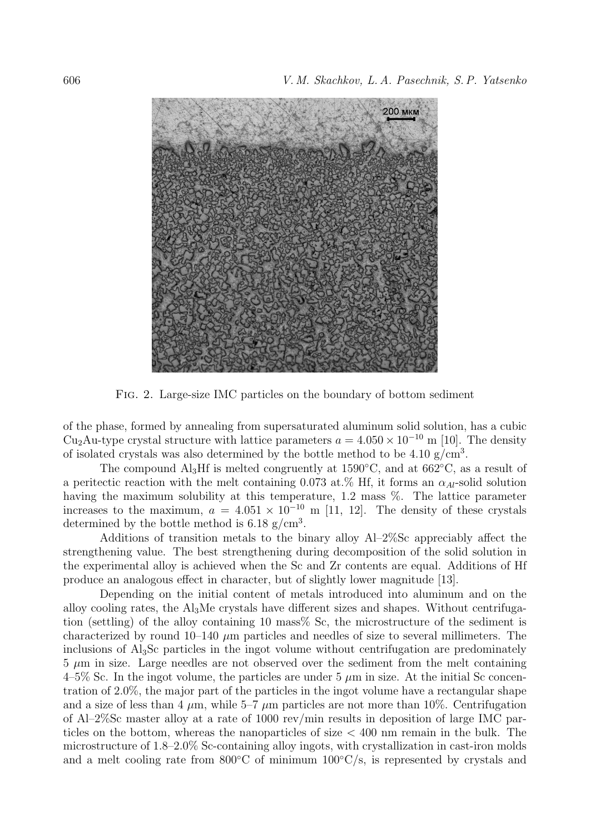

Fig. 2. Large-size IMC particles on the boundary of bottom sediment

of the phase, formed by annealing from supersaturated aluminum solid solution, has a cubic Cu<sub>2</sub>Au-type crystal structure with lattice parameters  $a = 4.050 \times 10^{-10}$  m [10]. The density of isolated crystals was also determined by the bottle method to be  $4.10 \text{ g/cm}^3$ .

The compound Al<sub>3</sub>Hf is melted congruently at 1590<sup>°</sup>C, and at 662<sup>°</sup>C, as a result of a peritectic reaction with the melt containing 0.073 at.% Hf, it forms an  $\alpha_{Al}$ -solid solution having the maximum solubility at this temperature, 1.2 mass %. The lattice parameter increases to the maximum,  $a = 4.051 \times 10^{-10}$  m [11, 12]. The density of these crystals determined by the bottle method is  $6.18 \text{ g/cm}^3$ .

Additions of transition metals to the binary alloy Al–2%Sc appreciably affect the strengthening value. The best strengthening during decomposition of the solid solution in the experimental alloy is achieved when the Sc and Zr contents are equal. Additions of Hf produce an analogous effect in character, but of slightly lower magnitude [13].

Depending on the initial content of metals introduced into aluminum and on the alloy cooling rates, the  $A<sub>13</sub>M<sub>e</sub>$  crystals have different sizes and shapes. Without centrifugation (settling) of the alloy containing 10 mass% Sc, the microstructure of the sediment is characterized by round  $10-140 \mu m$  particles and needles of size to several millimeters. The inclusions of Al3Sc particles in the ingot volume without centrifugation are predominately  $5 \mu m$  in size. Large needles are not observed over the sediment from the melt containing  $4\n-5\%$  Sc. In the ingot volume, the particles are under 5  $\mu$ m in size. At the initial Sc concentration of 2.0%, the major part of the particles in the ingot volume have a rectangular shape and a size of less than 4  $\mu$ m, while 5–7  $\mu$ m particles are not more than 10%. Centrifugation of Al–2%Sc master alloy at a rate of 1000 rev/min results in deposition of large IMC particles on the bottom, whereas the nanoparticles of size  $<$  400 nm remain in the bulk. The microstructure of 1.8–2.0% Sc-containing alloy ingots, with crystallization in cast-iron molds and a melt cooling rate from  $800\degree C$  of minimum  $100\degree C/s$ , is represented by crystals and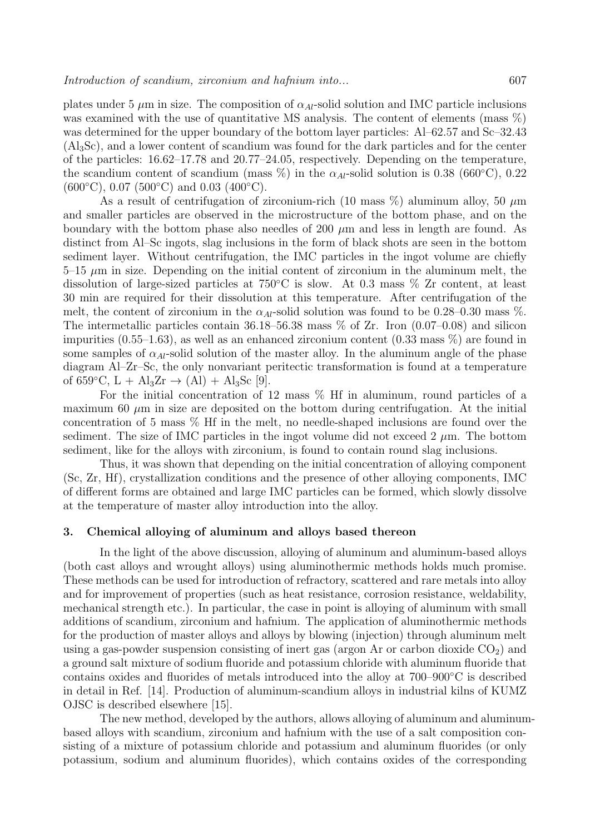plates under 5  $\mu$ m in size. The composition of  $\alpha_{Al}$ -solid solution and IMC particle inclusions was examined with the use of quantitative MS analysis. The content of elements (mass  $\%$ ) was determined for the upper boundary of the bottom layer particles: Al–62.57 and Sc–32.43 (Al3Sc), and a lower content of scandium was found for the dark particles and for the center of the particles: 16.62–17.78 and 20.77–24.05, respectively. Depending on the temperature, the scandium content of scandium (mass  $\%$ ) in the  $\alpha_{Al}$ -solid solution is 0.38 (660°C), 0.22  $(600 °C)$ , 0.07  $(500 °C)$  and 0.03  $(400 °C)$ .

As a result of centrifugation of zirconium-rich (10 mass  $\%$ ) aluminum alloy, 50  $\mu$ m and smaller particles are observed in the microstructure of the bottom phase, and on the boundary with the bottom phase also needles of 200  $\mu$ m and less in length are found. As distinct from Al–Sc ingots, slag inclusions in the form of black shots are seen in the bottom sediment layer. Without centrifugation, the IMC particles in the ingot volume are chiefly  $5-15 \mu m$  in size. Depending on the initial content of zirconium in the aluminum melt, the dissolution of large-sized particles at 750◦C is slow. At 0.3 mass % Zr content, at least 30 min are required for their dissolution at this temperature. After centrifugation of the melt, the content of zirconium in the  $\alpha_{Al}$ -solid solution was found to be 0.28–0.30 mass %. The intermetallic particles contain  $36.18-56.38$  mass  $\%$  of Zr. Iron  $(0.07-0.08)$  and silicon impurities  $(0.55-1.63)$ , as well as an enhanced zirconium content  $(0.33 \text{ mass } \%)$  are found in some samples of  $\alpha_{Al}$ -solid solution of the master alloy. In the aluminum angle of the phase diagram Al–Zr–Sc, the only nonvariant peritectic transformation is found at a temperature of 659 $^{\circ}$ C, L + Al<sub>3</sub>Zr  $\rightarrow$  (Al) + Al<sub>3</sub>Sc [9].

For the initial concentration of 12 mass  $\%$  Hf in aluminum, round particles of a maximum 60  $\mu$ m in size are deposited on the bottom during centrifugation. At the initial concentration of 5 mass % Hf in the melt, no needle-shaped inclusions are found over the sediment. The size of IMC particles in the ingot volume did not exceed 2  $\mu$ m. The bottom sediment, like for the alloys with zirconium, is found to contain round slag inclusions.

Thus, it was shown that depending on the initial concentration of alloying component (Sc, Zr, Hf), crystallization conditions and the presence of other alloying components, IMC of different forms are obtained and large IMC particles can be formed, which slowly dissolve at the temperature of master alloy introduction into the alloy.

#### 3. Chemical alloying of aluminum and alloys based thereon

In the light of the above discussion, alloying of aluminum and aluminum-based alloys (both cast alloys and wrought alloys) using aluminothermic methods holds much promise. These methods can be used for introduction of refractory, scattered and rare metals into alloy and for improvement of properties (such as heat resistance, corrosion resistance, weldability, mechanical strength etc.). In particular, the case in point is alloying of aluminum with small additions of scandium, zirconium and hafnium. The application of aluminothermic methods for the production of master alloys and alloys by blowing (injection) through aluminum melt using a gas-powder suspension consisting of inert gas (argon Ar or carbon dioxide  $CO<sub>2</sub>$ ) and a ground salt mixture of sodium fluoride and potassium chloride with aluminum fluoride that contains oxides and fluorides of metals introduced into the alloy at 700–900◦C is described in detail in Ref. [14]. Production of aluminum-scandium alloys in industrial kilns of KUMZ OJSC is described elsewhere [15].

The new method, developed by the authors, allows alloying of aluminum and aluminumbased alloys with scandium, zirconium and hafnium with the use of a salt composition consisting of a mixture of potassium chloride and potassium and aluminum fluorides (or only potassium, sodium and aluminum fluorides), which contains oxides of the corresponding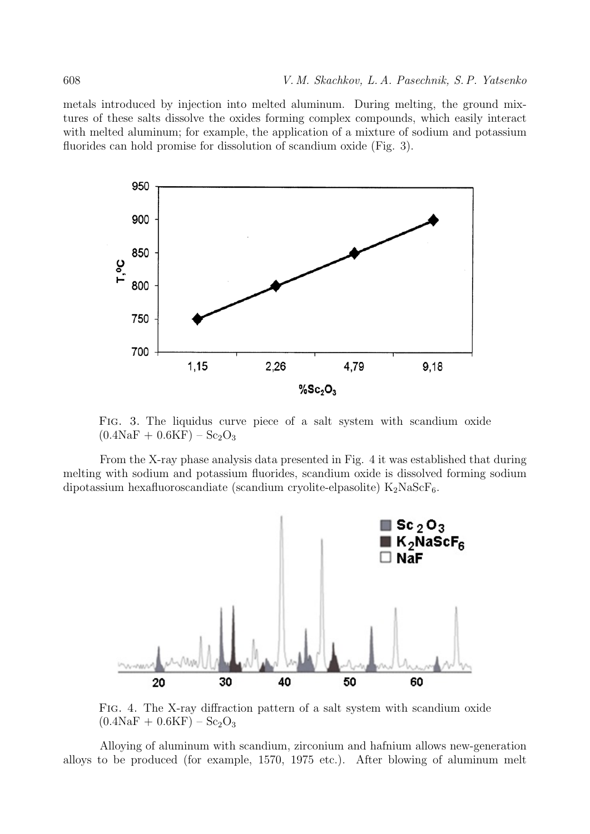metals introduced by injection into melted aluminum. During melting, the ground mixtures of these salts dissolve the oxides forming complex compounds, which easily interact with melted aluminum; for example, the application of a mixture of sodium and potassium fluorides can hold promise for dissolution of scandium oxide (Fig. 3).



Fig. 3. The liquidus curve piece of a salt system with scandium oxide  $(0.4\text{NaF} + 0.6\text{KF}) - \text{Sc}_2\text{O}_3$ 

From the X-ray phase analysis data presented in Fig. 4 it was established that during melting with sodium and potassium fluorides, scandium oxide is dissolved forming sodium dipotassium hexafluoroscandiate (scandium cryolite-elpasolite)  $K_2NaScF_6$ .



Fig. 4. The X-ray diffraction pattern of a salt system with scandium oxide  $(0.4\text{NaF} + 0.6\text{KF}) - \text{Sc}_2\text{O}_3$ 

Alloying of aluminum with scandium, zirconium and hafnium allows new-generation alloys to be produced (for example, 1570, 1975 etc.). After blowing of aluminum melt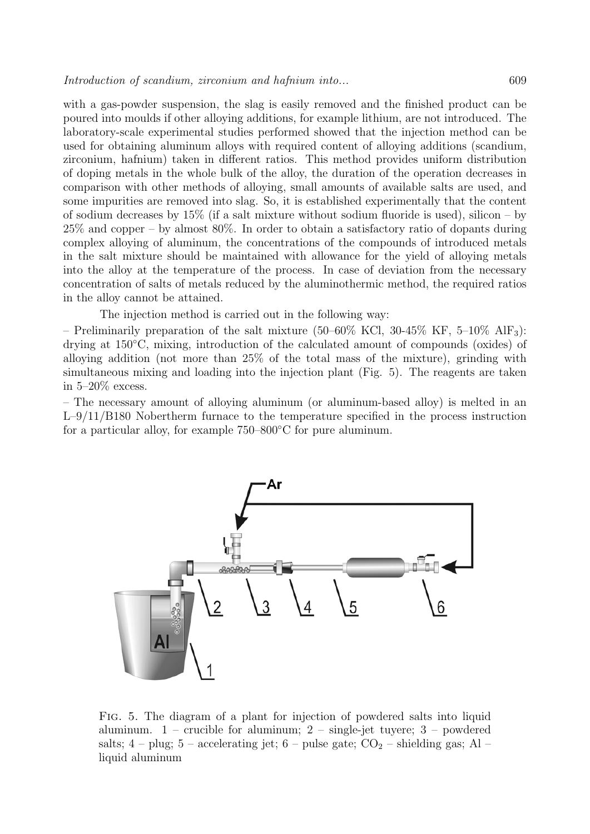with a gas-powder suspension, the slag is easily removed and the finished product can be poured into moulds if other alloying additions, for example lithium, are not introduced. The laboratory-scale experimental studies performed showed that the injection method can be used for obtaining aluminum alloys with required content of alloying additions (scandium, zirconium, hafnium) taken in different ratios. This method provides uniform distribution of doping metals in the whole bulk of the alloy, the duration of the operation decreases in comparison with other methods of alloying, small amounts of available salts are used, and some impurities are removed into slag. So, it is established experimentally that the content of sodium decreases by  $15\%$  (if a salt mixture without sodium fluoride is used), silicon – by 25% and copper – by almost 80%. In order to obtain a satisfactory ratio of dopants during complex alloying of aluminum, the concentrations of the compounds of introduced metals in the salt mixture should be maintained with allowance for the yield of alloying metals into the alloy at the temperature of the process. In case of deviation from the necessary concentration of salts of metals reduced by the aluminothermic method, the required ratios in the alloy cannot be attained.

The injection method is carried out in the following way:

– Preliminarily preparation of the salt mixture  $(50-60\% \text{ KCl}, 30-45\% \text{ KF}, 5-10\% \text{ AlF}_3)$ : drying at 150◦C, mixing, introduction of the calculated amount of compounds (oxides) of alloying addition (not more than 25% of the total mass of the mixture), grinding with simultaneous mixing and loading into the injection plant (Fig. 5). The reagents are taken in 5–20% excess.

– The necessary amount of alloying aluminum (or aluminum-based alloy) is melted in an L–9/11/B180 Nobertherm furnace to the temperature specified in the process instruction for a particular alloy, for example 750–800◦C for pure aluminum.



Fig. 5. The diagram of a plant for injection of powdered salts into liquid aluminum.  $1$  – crucible for aluminum;  $2$  – single-jet tuyere;  $3$  – powdered salts;  $4$  – plug;  $5$  – accelerating jet;  $6$  – pulse gate;  $CO<sub>2</sub>$  – shielding gas; Al – liquid aluminum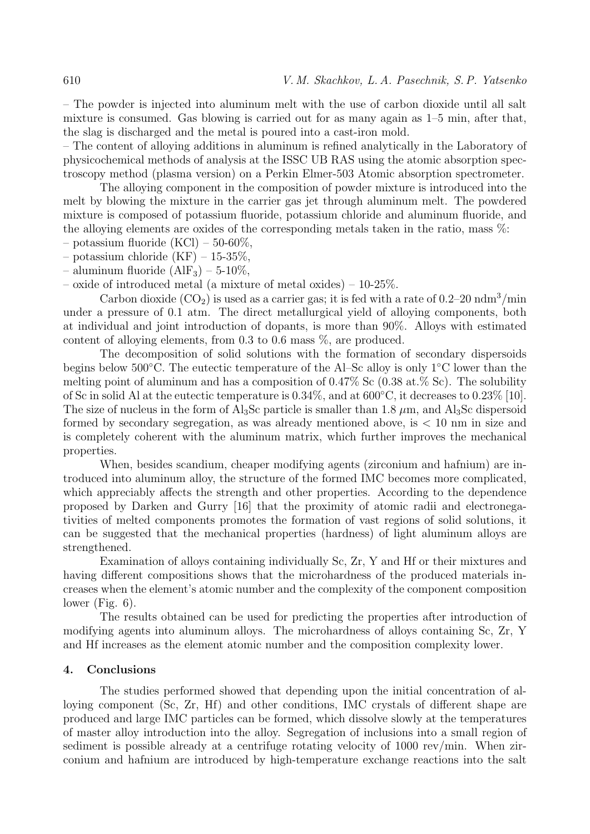– The powder is injected into aluminum melt with the use of carbon dioxide until all salt mixture is consumed. Gas blowing is carried out for as many again as 1–5 min, after that, the slag is discharged and the metal is poured into a cast-iron mold.

– The content of alloying additions in aluminum is refined analytically in the Laboratory of physicochemical methods of analysis at the ISSC UB RAS using the atomic absorption spectroscopy method (plasma version) on a Perkin Elmer-503 Atomic absorption spectrometer.

The alloying component in the composition of powder mixture is introduced into the melt by blowing the mixture in the carrier gas jet through aluminum melt. The powdered mixture is composed of potassium fluoride, potassium chloride and aluminum fluoride, and the alloying elements are oxides of the corresponding metals taken in the ratio, mass  $\%$ :

– potassium fluoride  $(KCl)$  – 50-60%,

– potassium chloride  $(KF)$  – 15-35%,

– aluminum fluoride  $(AIF_3)$  – 5-10%,

– oxide of introduced metal (a mixture of metal oxides) – 10-25%.

Carbon dioxide  $(CO_2)$  is used as a carrier gas; it is fed with a rate of 0.2–20 ndm<sup>3</sup>/min under a pressure of 0.1 atm. The direct metallurgical yield of alloying components, both at individual and joint introduction of dopants, is more than 90%. Alloys with estimated content of alloying elements, from 0.3 to 0.6 mass %, are produced.

The decomposition of solid solutions with the formation of secondary dispersoids begins below 500◦C. The eutectic temperature of the Al–Sc alloy is only 1◦C lower than the melting point of aluminum and has a composition of  $0.47\%$  Sc ( $0.38$  at. $\%$  Sc). The solubility of Sc in solid Al at the eutectic temperature is 0.34%, and at 600◦C, it decreases to 0.23% [10]. The size of nucleus in the form of Al<sub>3</sub>Sc particle is smaller than 1.8  $\mu$ m, and Al<sub>3</sub>Sc dispersoid formed by secondary segregation, as was already mentioned above, is < 10 nm in size and is completely coherent with the aluminum matrix, which further improves the mechanical properties.

When, besides scandium, cheaper modifying agents (zirconium and hafnium) are introduced into aluminum alloy, the structure of the formed IMC becomes more complicated, which appreciably affects the strength and other properties. According to the dependence proposed by Darken and Gurry [16] that the proximity of atomic radii and electronegativities of melted components promotes the formation of vast regions of solid solutions, it can be suggested that the mechanical properties (hardness) of light aluminum alloys are strengthened.

Examination of alloys containing individually Sc, Zr, Y and Hf or their mixtures and having different compositions shows that the microhardness of the produced materials increases when the element's atomic number and the complexity of the component composition lower (Fig.  $6$ ).

The results obtained can be used for predicting the properties after introduction of modifying agents into aluminum alloys. The microhardness of alloys containing Sc, Zr, Y and Hf increases as the element atomic number and the composition complexity lower.

#### 4. Conclusions

The studies performed showed that depending upon the initial concentration of alloying component (Sc, Zr, Hf) and other conditions, IMC crystals of different shape are produced and large IMC particles can be formed, which dissolve slowly at the temperatures of master alloy introduction into the alloy. Segregation of inclusions into a small region of sediment is possible already at a centrifuge rotating velocity of 1000 rev/min. When zirconium and hafnium are introduced by high-temperature exchange reactions into the salt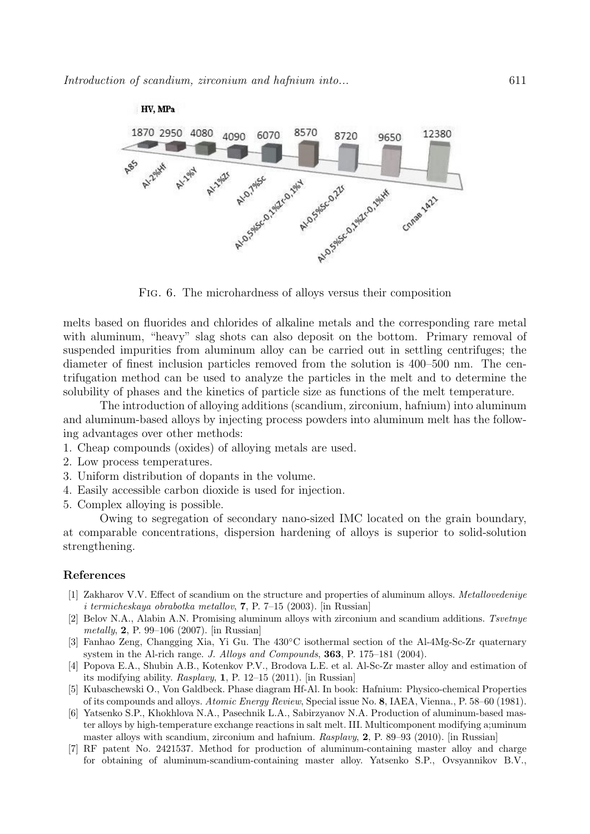

Fig. 6. The microhardness of alloys versus their composition

melts based on fluorides and chlorides of alkaline metals and the corresponding rare metal with aluminum, "heavy" slag shots can also deposit on the bottom. Primary removal of suspended impurities from aluminum alloy can be carried out in settling centrifuges; the diameter of finest inclusion particles removed from the solution is 400–500 nm. The centrifugation method can be used to analyze the particles in the melt and to determine the solubility of phases and the kinetics of particle size as functions of the melt temperature.

The introduction of alloying additions (scandium, zirconium, hafnium) into aluminum and aluminum-based alloys by injecting process powders into aluminum melt has the following advantages over other methods:

- 1. Cheap compounds (oxides) of alloying metals are used.
- 2. Low process temperatures.
- 3. Uniform distribution of dopants in the volume.
- 4. Easily accessible carbon dioxide is used for injection.
- 5. Complex alloying is possible.

Owing to segregation of secondary nano-sized IMC located on the grain boundary, at comparable concentrations, dispersion hardening of alloys is superior to solid-solution strengthening.

### References

- [1] Zakharov V.V. Effect of scandium on the structure and properties of aluminum alloys. Metallovedeniye i termicheskaya obrabotka metallov, 7, P. 7–15 (2003). [in Russian]
- [2] Belov N.A., Alabin A.N. Promising aluminum alloys with zirconium and scandium additions. Tsvetnye metally, 2, P. 99–106 (2007). [in Russian]
- [3] Fanhao Zeng, Changging Xia, Yi Gu. The 430◦C isothermal section of the Al-4Mg-Sc-Zr quaternary system in the Al-rich range. J. Alloys and Compounds, 363, P. 175–181 (2004).
- [4] Popova E.A., Shubin A.B., Kotenkov P.V., Brodova L.E. et al. Al-Sc-Zr master alloy and estimation of its modifying ability. Rasplavy, 1, P. 12–15 (2011). [in Russian]
- [5] Kubaschewski O., Von Galdbeck. Phase diagram Hf-Al. In book: Hafnium: Physico-chemical Properties of its compounds and alloys. Atomic Energy Review, Special issue No. 8, IAEA, Vienna., P. 58–60 (1981).
- [6] Yatsenko S.P., Khokhlova N.A., Pasechnik L.A., Sabirzyanov N.A. Production of aluminum-based master alloys by high-temperature exchange reactions in salt melt. III. Multicomponent modifying a;uminum master alloys with scandium, zirconium and hafnium. Rasplavy, 2, P. 89–93 (2010). [in Russian]
- [7] RF patent No. 2421537. Method for production of aluminum-containing master alloy and charge for obtaining of aluminum-scandium-containing master alloy. Yatsenko S.P., Ovsyannikov B.V.,